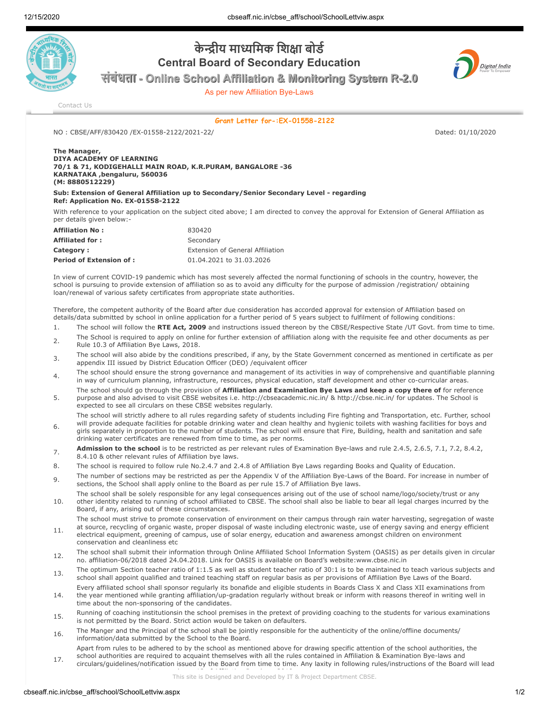

## **केीय मािमक िशा बोड Central Board of Secondary Education**

**संबंधता - Online School Affiliation & Monitoring System R-2.0**

As per new Affiliation Bye-Laws



[Contact Us](http://cbseaff.nic.in/cbse_aff/help.aspx)

**Grant Letter for-:EX-01558-2122**

NO : CBSE/AFF/830420 /EX-01558-2122/2021-22/ Dated: 01/10/2020

## **The Manager, DIYA ACADEMY OF LEARNING 70/1 & 71, KODIGEHALLI MAIN ROAD, K.R.PURAM, BANGALORE -36 KARNATAKA ,bengaluru, 560036 (M: 8880512229)**

**Sub: Extension of General Affiliation up to Secondary/Senior Secondary Level - regarding Ref: Application No. EX-01558-2122**

With reference to your application on the subject cited above; I am directed to convey the approval for Extension of General Affiliation as per details given below:-

| <b>Affiliation No:</b>          | 830420                           |
|---------------------------------|----------------------------------|
| <b>Affiliated for:</b>          | Secondary                        |
| Category:                       | Extension of General Affiliation |
| <b>Period of Extension of :</b> | 01.04.2021 to 31.03.2026         |

In view of current COVID-19 pandemic which has most severely affected the normal functioning of schools in the country, however, the school is pursuing to provide extension of affiliation so as to avoid any difficulty for the purpose of admission /registration/ obtaining loan/renewal of various safety certificates from appropriate state authorities.

Therefore, the competent authority of the Board after due consideration has accorded approval for extension of Affiliation based on details/data submitted by school in online application for a further period of 5 years subject to fulfilment of following conditions:

- 1. The school will follow the **RTE Act, 2009** and instructions issued thereon by the CBSE/Respective State /UT Govt. from time to time.
- 2. The School is required to apply on online for further extension of affiliation along with the requisite fee and other documents as per Rule 10.3 of Affiliation Bye Laws, 2018.
- 3. The school will also abide by the conditions prescribed, if any, by the State Government concerned as mentioned in certificate as per appendix III issued by District Education Officer (DEO) /equivalent officer
- The school should ensure the strong governance and management of its activities in way of comprehensive and quantifiable planning in way of curriculum planning, infrastructure, resources, physical education, staff development and other co-curricular areas.
- 5. The school should go through the provision of **Affiliation and Examination Bye Laws and keep a copy there of** for reference purpose and also advised to visit CBSE websites i.e. http://cbseacademic.nic.in/ & http://cbse.nic.in/ for updates. The School is expected to see all circulars on these CBSE websites regularly.
- 6. The school will strictly adhere to all rules regarding safety of students including Fire fighting and Transportation, etc. Further, school will provide adequate facilities for potable drinking water and clean healthy and hygienic toilets with washing facilities for boys and girls separately in proportion to the number of students. The school will ensure that Fire, Building, health and sanitation and safe
- drinking water certificates are renewed from time to time, as per norms. **Admission to the school** is to be restricted as per relevant rules of Examination Bye-laws and rule 2.4.5, 2.6.5, 7.1, 7.2, 8.4.2, 8.4.10 & other relevant rules of Affiliation bye laws.
- 8. The school is required to follow rule No.2.4.7 and 2.4.8 of Affiliation Bye Laws regarding Books and Quality of Education.
- 9. The number of sections may be restricted as per the Appendix V of the Affiliation Bye-Laws of the Board. For increase in number of sections, the School shall apply online to the Board as per rule 15.7 of Affiliation Bye laws.
- 10. The school shall be solely responsible for any legal consequences arising out of the use of school name/logo/society/trust or any other identity related to running of school affiliated to CBSE. The school shall also be liable to bear all legal charges incurred by the Board, if any, arising out of these circumstances.
- 11. The school must strive to promote conservation of environment on their campus through rain water harvesting, segregation of waste at source, recycling of organic waste, proper disposal of waste including electronic waste, use of energy saving and energy efficient electrical equipment, greening of campus, use of solar energy, education and awareness amongst children on environment conservation and cleanliness etc
- 12. The school shall submit their information through Online Affiliated School Information System (OASIS) as per details given in circular no. affiliation-06/2018 dated 24.04.2018. Link for OASIS is available on Board's website:www.cbse.nic.in
- 13. The optimum Section teacher ratio of 1:1.5 as well as student teacher ratio of 30:1 is to be maintained to teach various subjects and school shall appoint qualified and trained teaching staff on regular basis as per provisions of Affiliation Bye Laws of the Board.
- 14. Every affiliated school shall sponsor regularly its bonafide and eligible students in Boards Class X and Class XII examinations from the year mentioned while granting affiliation/up-gradation regularly without break or inform with reasons thereof in writing well in time about the non-sponsoring of the candidates.
- 15. Running of coaching institutionsin the school premises in the pretext of providing coaching to the students for various examinations is not permitted by the Board. Strict action would be taken on defaulters.
- 16. The Manger and the Principal of the school shall be jointly responsible for the authenticity of the online/offline documents/ information/data submitted by the School to the Board.
- 17. Apart from rules to be adhered to by the school as mentioned above for drawing specific attention of the school authorities, the school authorities are required to acquaint themselves with all the rules contained in Affiliation & Examination Bye-laws and circulars/guidelines/notification issued by the Board from time to time. Any laxity in following rules/instructions of the Board will lead